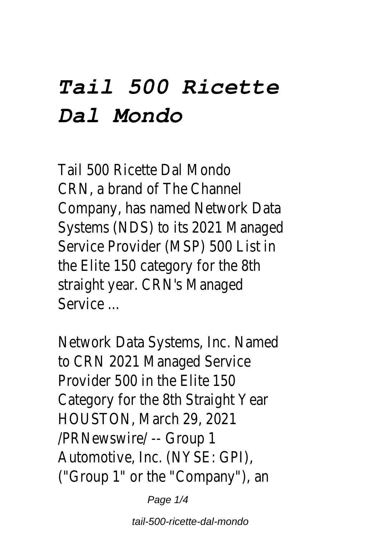## *Tail 500 Ricette Dal Mondo*

Tail 500 Ricette Dal M CRN, a brand of The Channel Company, has named Network Systems (NDS) to its 2021 M Service Provider (MSP) 500 the Elite 150 category for the straight year. CRN's Mar Service .

Network Data Systems, Inc. to CRN 2021 Managed S Provider 500 in the Flite Category for the 8th Straight HOUSTON, March 29, /PRNewswire/ -- Gr Automotive, Inc. (NYSE: ("Group 1" or the "Company")

Page 1/4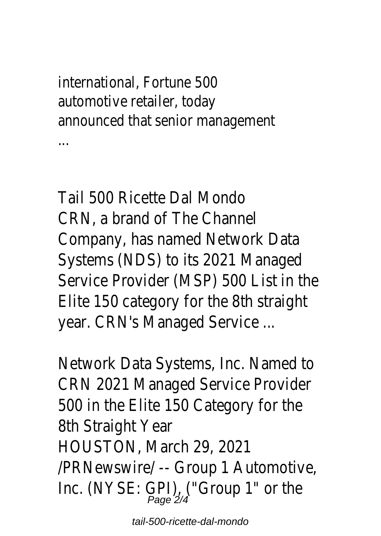international, Fortune automotive retailer, t announced that senior manage ...

Tail 500 Ricette Dal Mondo CRN, a brand of The Channe Company, has named Netwo Systems (NDS) to its 2021 Service Provider (MSP) 500 Elite 150 category for the year. CRN's Managed Servic

Network Data Systems, Inc. CRN 2021 Managed Service 500 in the Elite 150 Catego 8th Straight Year HOUSTON, March 29, 2021 /PRNewswire/ -- Group 1 A Inc. (NYSE: GPI), ("Group 1"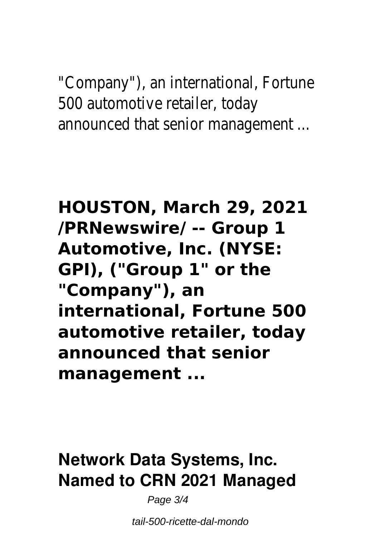"Company"), an international 500 automotive retailer, to announced that senior mana

**HOUSTON, March 29, 2021 /PRNewswire/ -- Group 1 Automotive, Inc. (NYSE: GPI), ("Group 1" or the "Company"), an international, Fortune 500 automotive retailer, today announced that senior management ...**

## **Network Data Systems, Inc. Named to CRN 2021 Managed**

Page 3/4